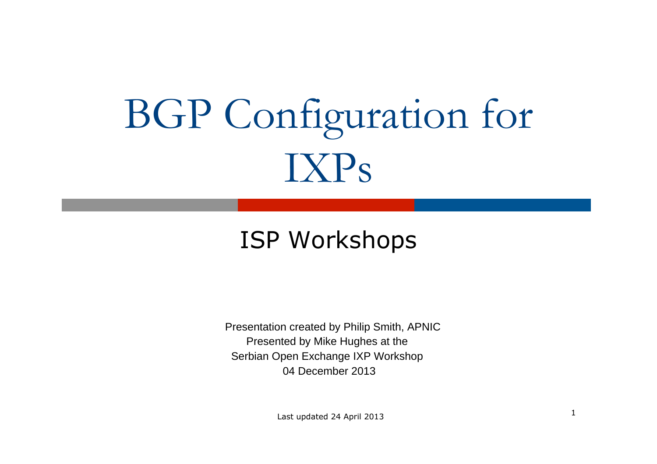# BGP Configuration for IXPs

### ISP Workshops

Presentation created by Philip Smith, APNIC Presented by Mike Hughes at the Serbian Open Exchange IXP Workshop 04 December 2013

1 Last updated 24 April 2013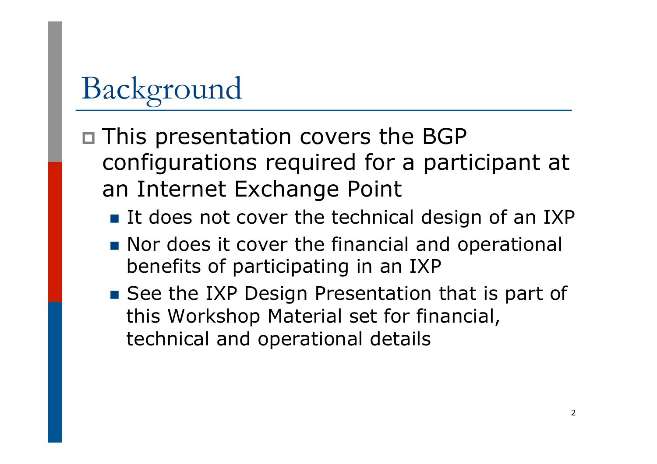# Background

- p This presentation covers the BGP configurations required for a participant at an Internet Exchange Point
	- It does not cover the technical design of an IXP
	- Nor does it cover the financial and operational benefits of participating in an IXP
	- See the IXP Design Presentation that is part of this Workshop Material set for financial, technical and operational details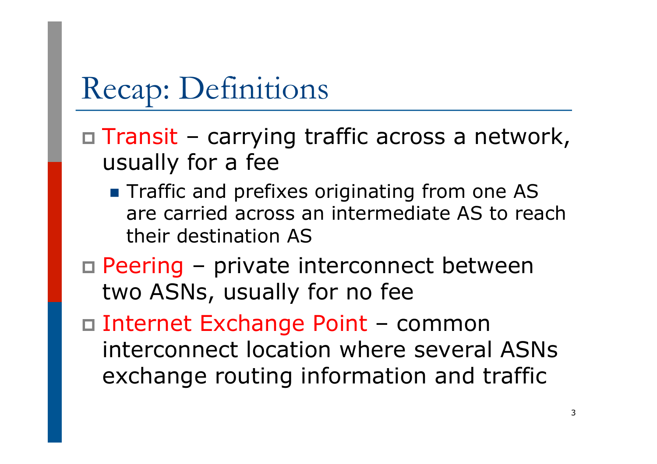# Recap: Definitions

- $\Box$  Transit carrying traffic across a network, usually for a fee
	- **n** Traffic and prefixes originating from one AS are carried across an intermediate AS to reach their destination AS
- $\Box$  Peering private interconnect between two ASNs, usually for no fee
- p Internet Exchange Point common interconnect location where several ASNs exchange routing information and traffic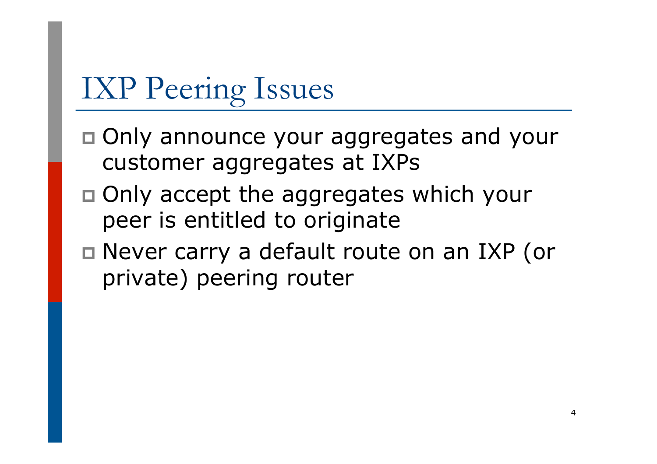# IXP Peering Issues

- p Only announce your aggregates and your customer aggregates at IXPs
- p Only accept the aggregates which your peer is entitled to originate
- □ Never carry a default route on an IXP (or private) peering router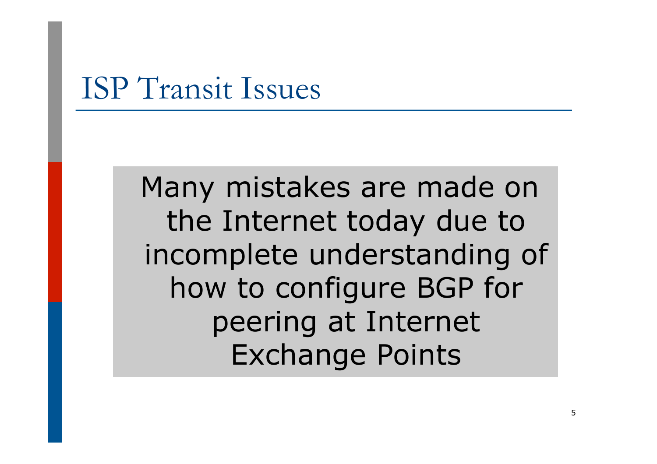## ISP Transit Issues

Many mistakes are made on the Internet today due to incomplete understanding of how to configure BGP for peering at Internet Exchange Points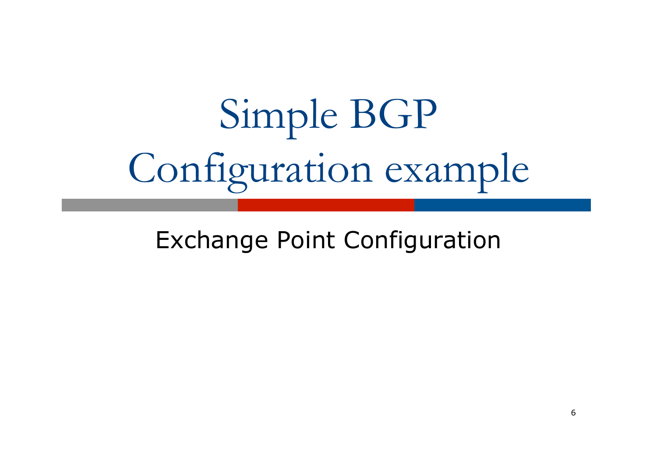# Simple BGP Configuration example

Exchange Point Configuration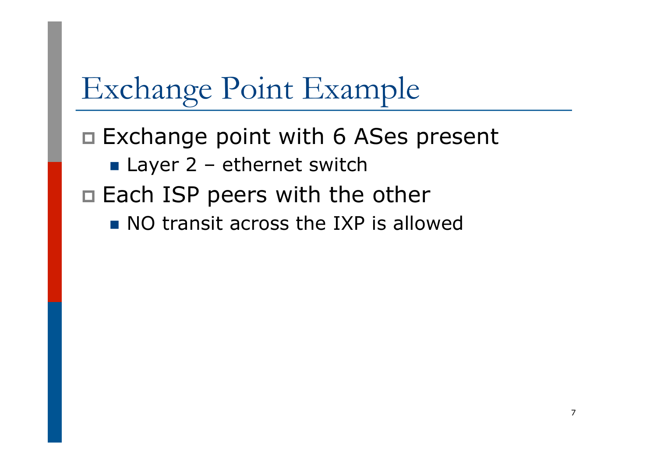# Exchange Point Example

□ Exchange point with 6 ASes present

 $\blacksquare$  Layer 2 – ethernet switch

 $\square$  Each ISP peers with the other

 $\blacksquare$  NO transit across the IXP is allowed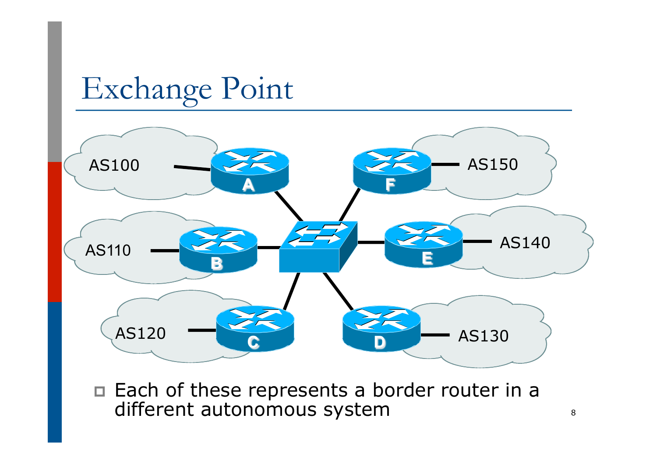

□ Each of these represents a border router in a different autonomous system  $\frac{1}{8}$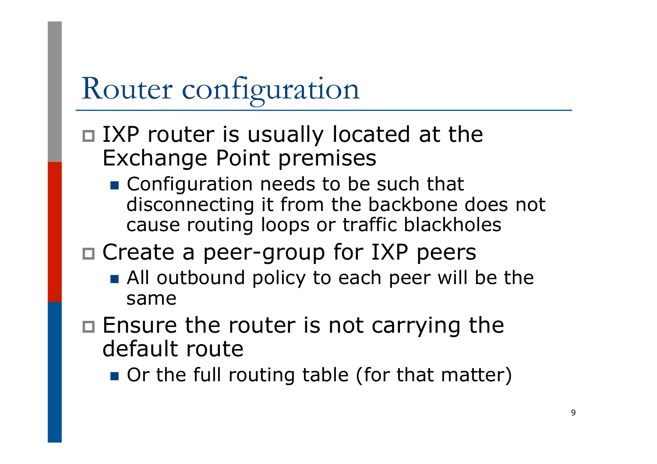# Router configuration

#### $\Box$  IXP router is usually located at the Exchange Point premises

■ Configuration needs to be such that disconnecting it from the backbone does not cause routing loops or traffic blackholes

### $\square$  Create a peer-group for IXP peers

- All outbound policy to each peer will be the same
- $\Box$  Ensure the router is not carrying the default route
	- Or the full routing table (for that matter)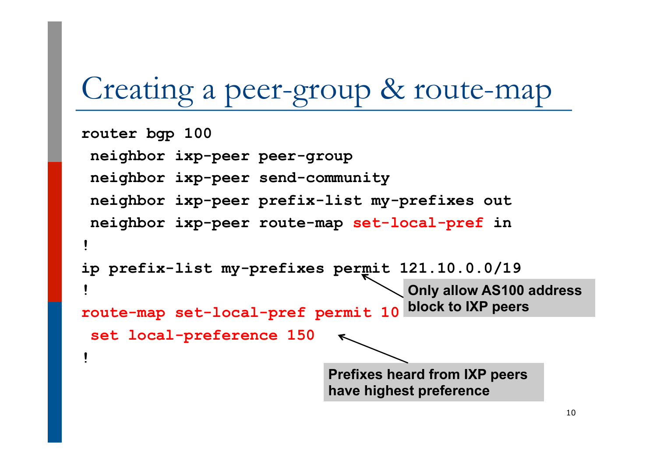# Creating a peer-group & route-map

```
router bgp 100 
  neighbor ixp-peer peer-group 
  neighbor ixp-peer send-community 
  neighbor ixp-peer prefix-list my-prefixes out 
  neighbor ixp-peer route-map set-local-pref in 
! 
ip prefix-list my-prefixes permit 121.10.0.0/19 
! 
route-map set-local-pref permit 10 
  set local-preference 150 
! 
                                       Only allow AS100 address 
                                       block to IXP peers 
                              Prefixes heard from IXP peers 
                              have highest preference
```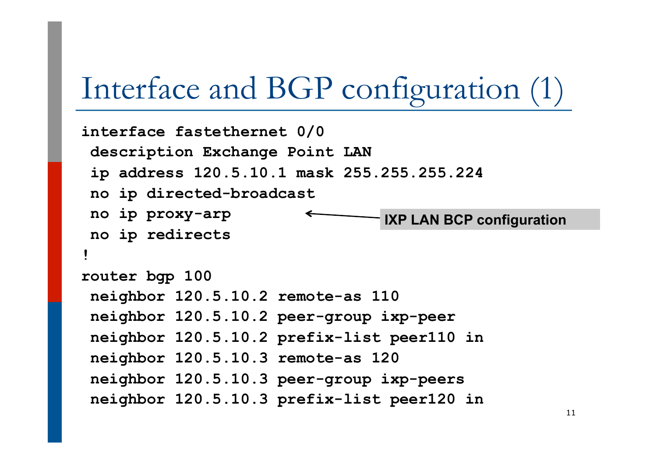## Interface and BGP configuration (1)

```
interface fastethernet 0/0 
  description Exchange Point LAN 
  ip address 120.5.10.1 mask 255.255.255.224 
  no ip directed-broadcast 
  no ip proxy-arp 
 no ip redirects 
! 
router bgp 100 
  neighbor 120.5.10.2 remote-as 110 
  neighbor 120.5.10.2 peer-group ixp-peer 
  neighbor 120.5.10.2 prefix-list peer110 in 
  neighbor 120.5.10.3 remote-as 120 
  neighbor 120.5.10.3 peer-group ixp-peers 
  neighbor 120.5.10.3 prefix-list peer120 in
                                 IXP LAN BCP configuration
```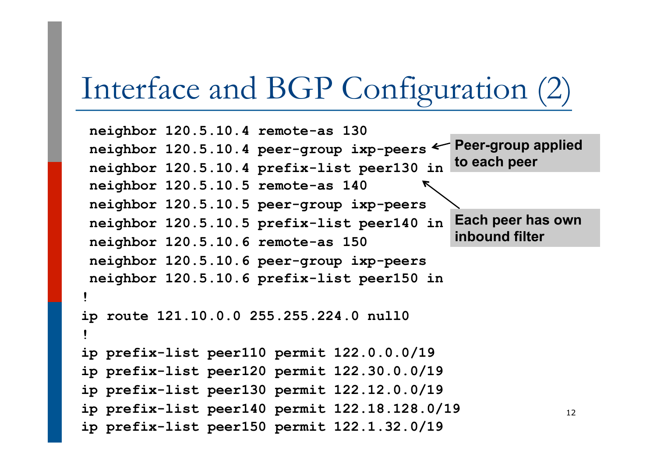## Interface and BGP Configuration (2)

```
 neighbor 120.5.10.4 remote-as 130 
  neighbor 120.5.10.4 peer-group ixp-peers 
  neighbor 120.5.10.4 prefix-list peer130 in 
  neighbor 120.5.10.5 remote-as 140 
  neighbor 120.5.10.5 peer-group ixp-peers 
 neighbor 120.5.10.5 prefix-list peer140 in 
  neighbor 120.5.10.6 remote-as 150 
  neighbor 120.5.10.6 peer-group ixp-peers 
 neighbor 120.5.10.6 prefix-list peer150 in 
! 
ip route 121.10.0.0 255.255.224.0 null0 
! 
ip prefix-list peer110 permit 122.0.0.0/19 
ip prefix-list peer120 permit 122.30.0.0/19 
ip prefix-list peer130 permit 122.12.0.0/19 
ip prefix-list peer140 permit 122.18.128.0/19 
ip prefix-list peer150 permit 122.1.32.0/19 
                                                             12 
                                               Peer-group applied 
                                               to each peer 
                                               Each peer has own 
                                               inbound filter
```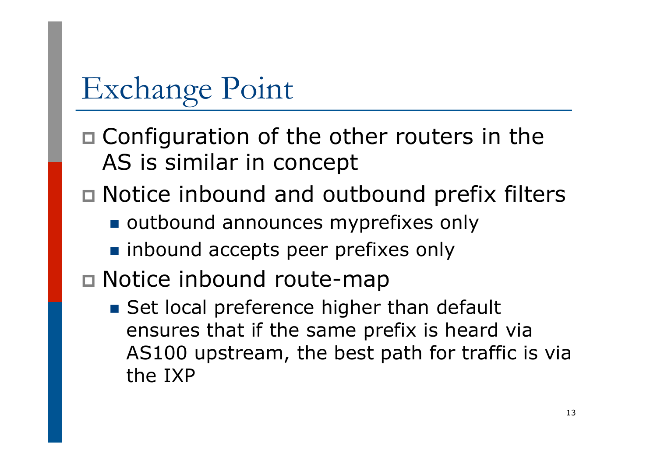$\square$  Configuration of the other routers in the AS is similar in concept

- $\Box$  Notice inbound and outbound prefix filters
	- outbound announces myprefixes only
	- n inbound accepts peer prefixes only
- p Notice inbound route-map
	- Set local preference higher than default ensures that if the same prefix is heard via AS100 upstream, the best path for traffic is via the IXP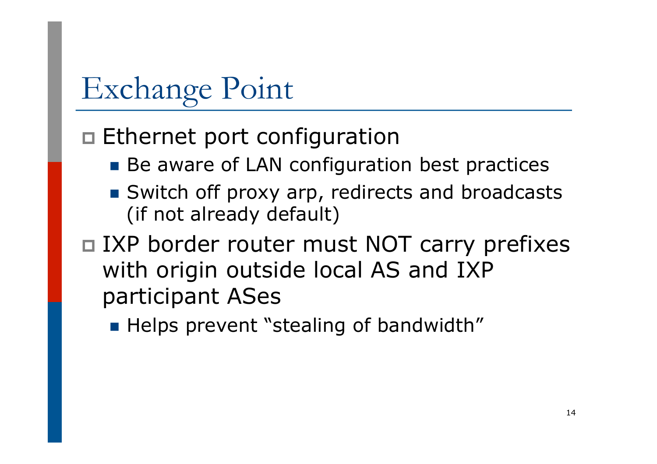### $\square$  Ethernet port configuration

- Be aware of LAN configuration best practices
- Switch off proxy arp, redirects and broadcasts (if not already default)
- □ IXP border router must NOT carry prefixes with origin outside local AS and IXP participant ASes
	- **Helps prevent "stealing of bandwidth"**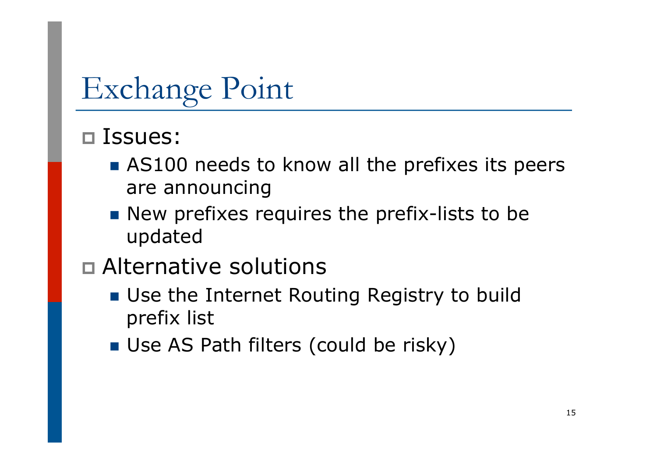#### p Issues:

- $\blacksquare$  AS100 needs to know all the prefixes its peers are announcing
- $\blacksquare$  New prefixes requires the prefix-lists to be updated
- p Alternative solutions
	- Use the Internet Routing Registry to build prefix list
	- **n** Use AS Path filters (could be risky)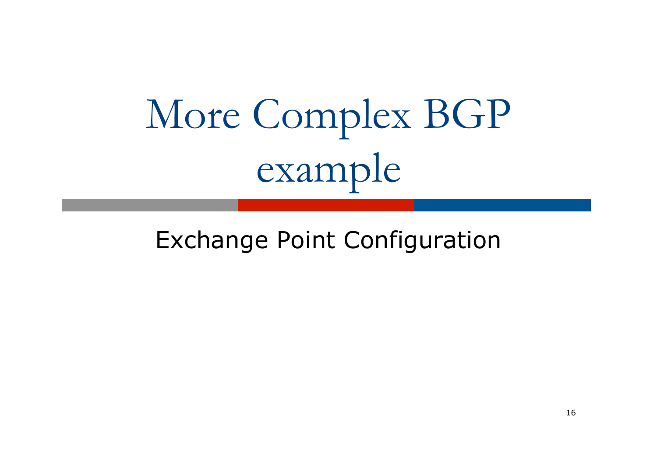# More Complex BGP example

### Exchange Point Configuration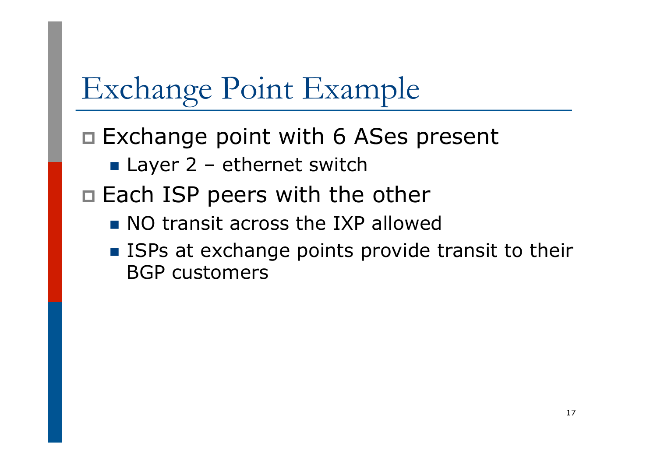# Exchange Point Example

 $\Box$  Exchange point with 6 ASes present

 $\blacksquare$  Layer 2 – ethernet switch

 $\Box$  Each ISP peers with the other

- $\blacksquare$  NO transit across the IXP allowed
- ISPs at exchange points provide transit to their BGP customers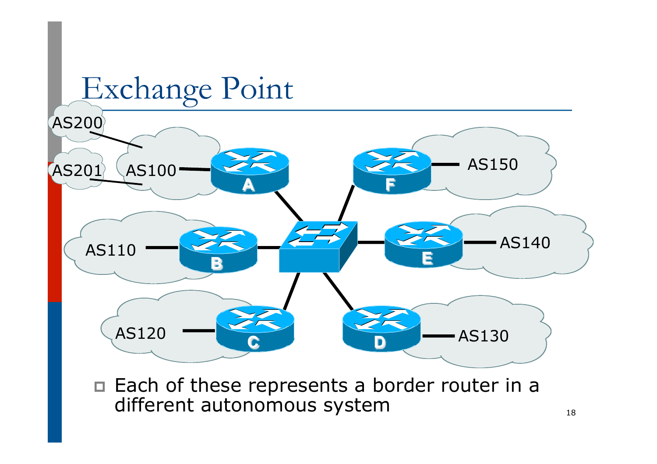

□ Each of these represents a border router in a different autonomous system  $\frac{1}{18}$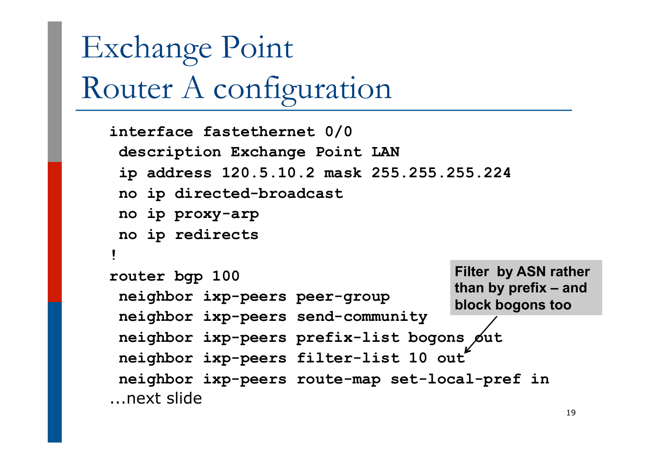# Exchange Point Router A configuration

```
interface fastethernet 0/0 
  description Exchange Point LAN 
  ip address 120.5.10.2 mask 255.255.255.224 
  no ip directed-broadcast 
  no ip proxy-arp 
  no ip redirects 
! 
router bgp 100 
  neighbor ixp-peers peer-group 
  neighbor ixp-peers send-community 
 neighbor ixp-peers prefix-list bogons \cancel{\phi}ut
  neighbor ixp-peers filter-list 10 out 
  neighbor ixp-peers route-map set-local-pref in 
...next slide 
                                          Filter by ASN rather 
                                          than by prefix – and 
                                          block bogons too
```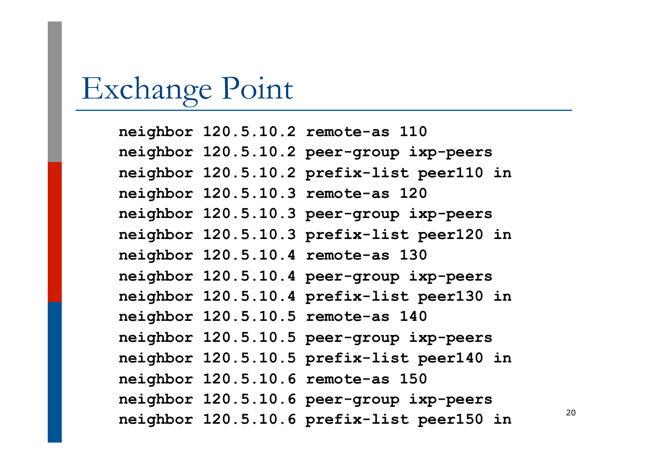**neighbor 120.5.10.2 remote-as 110 neighbor 120.5.10.2 peer-group ixp-peers neighbor 120.5.10.2 prefix-list peer110 in neighbor 120.5.10.3 remote-as 120 neighbor 120.5.10.3 peer-group ixp-peers neighbor 120.5.10.3 prefix-list peer120 in neighbor 120.5.10.4 remote-as 130 neighbor 120.5.10.4 peer-group ixp-peers neighbor 120.5.10.4 prefix-list peer130 in neighbor 120.5.10.5 remote-as 140 neighbor 120.5.10.5 peer-group ixp-peers neighbor 120.5.10.5 prefix-list peer140 in neighbor 120.5.10.6 remote-as 150 neighbor 120.5.10.6 peer-group ixp-peers neighbor 120.5.10.6 prefix-list peer150 in** <sup>20</sup>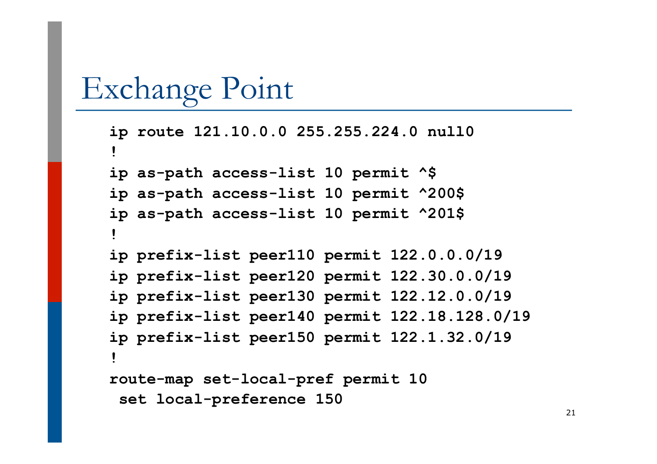```
ip route 121.10.0.0 255.255.224.0 null0 
! 
ip as-path access-list 10 permit ^$ 
ip as-path access-list 10 permit ^200$ 
ip as-path access-list 10 permit ^201$ 
! 
ip prefix-list peer110 permit 122.0.0.0/19 
ip prefix-list peer120 permit 122.30.0.0/19 
ip prefix-list peer130 permit 122.12.0.0/19 
ip prefix-list peer140 permit 122.18.128.0/19 
ip prefix-list peer150 permit 122.1.32.0/19 
! 
route-map set-local-pref permit 10 
 set local-preference 150
```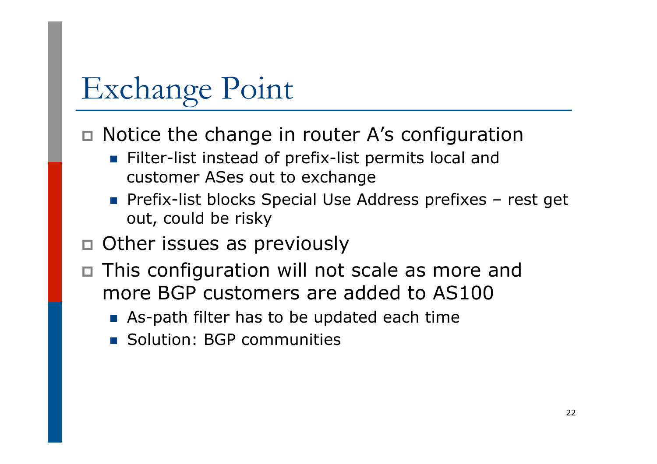$\Box$  Notice the change in router A's configuration

- **Filter-list instead of prefix-list permits local and** customer ASes out to exchange
- **n** Prefix-list blocks Special Use Address prefixes rest get out, could be risky
- p Other issues as previously
- □ This configuration will not scale as more and more BGP customers are added to AS100
	- **n** As-path filter has to be updated each time
	- **n** Solution: BGP communities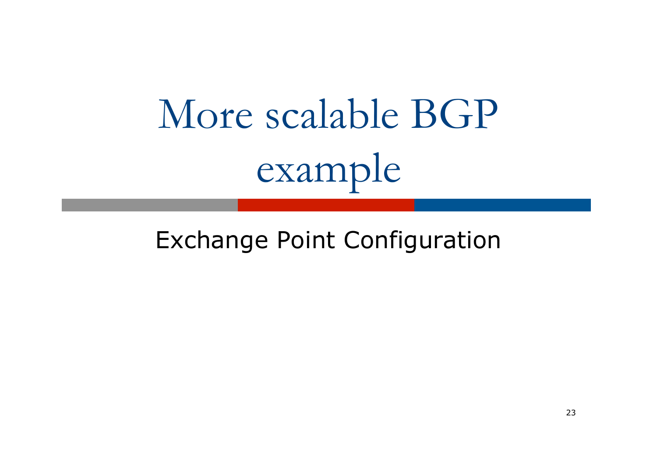# More scalable BGP example

### Exchange Point Configuration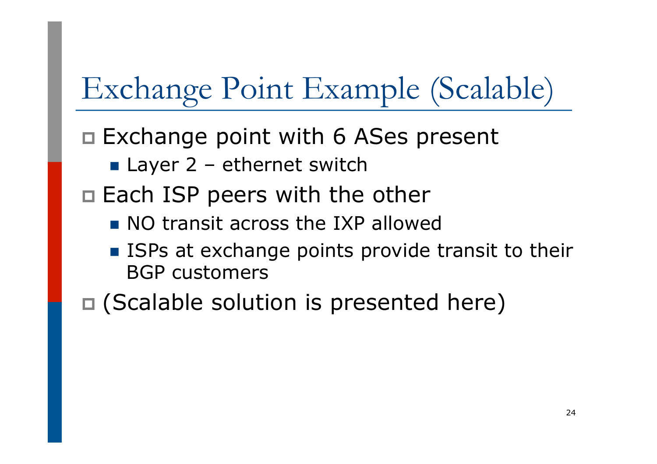# Exchange Point Example (Scalable)

 $\Box$  Exchange point with 6 ASes present

- $\blacksquare$  Layer 2 ethernet switch
- $\Box$  Each ISP peers with the other
	- $\blacksquare$  NO transit across the IXP allowed
	- ISPs at exchange points provide transit to their BGP customers

 $\square$  (Scalable solution is presented here)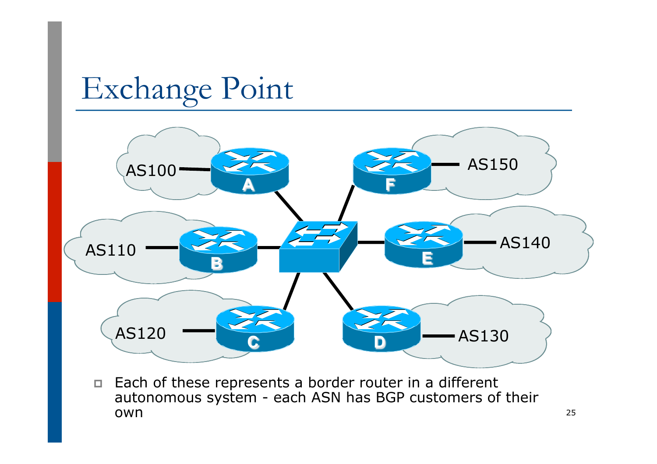

p Each of these represents a border router in a different autonomous system - each ASN has BGP customers of their **OWN** 25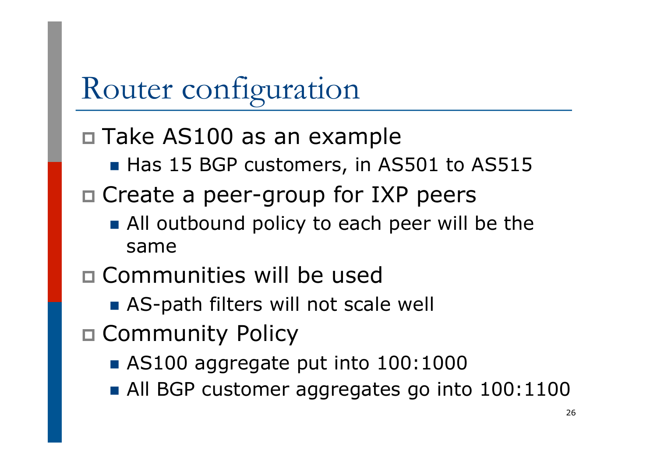# Router configuration

### p Take AS100 as an example

- Has 15 BGP customers, in AS501 to AS515
- $\square$  Create a peer-group for IXP peers
	- All outbound policy to each peer will be the same
- p Communities will be used
	- AS-path filters will not scale well
- p Community Policy
	- $\blacksquare$  AS100 aggregate put into 100:1000
	- All BGP customer aggregates go into 100:1100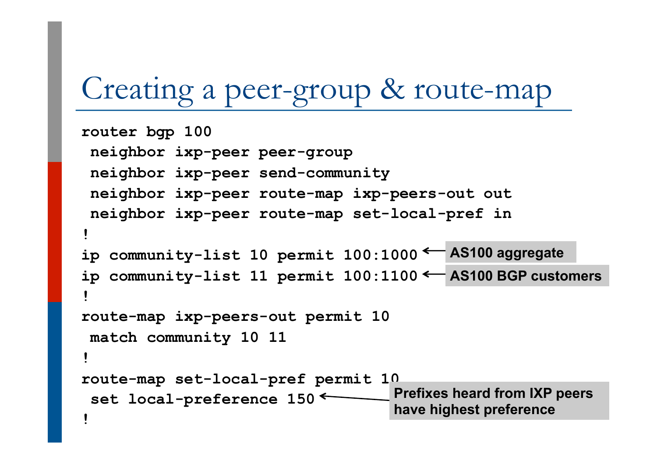# Creating a peer-group & route-map

```
router bgp 100 
  neighbor ixp-peer peer-group 
  neighbor ixp-peer send-community 
  neighbor ixp-peer route-map ixp-peers-out out 
  neighbor ixp-peer route-map set-local-pref in 
! 
ip community-list 10 permit 100:1000 
AS100 aggregate 
ip community-list 11 permit 100:1100 
AS100 BGP customers ! 
route-map ixp-peers-out permit 10 
  match community 10 11 
! 
route-map set-local-pref permit 10 
 set local-preference 150<sup>\leftarrow</sup>
1 Example 20 III Example 20 III Example 20 III Example 20 III Example 20 III Example 20 III Example 20 III Example 20 III Example 20 III Example 20 III Example 20 III EXAMPLE 
                                             Prefixes heard from IXP peers 
                                              have highest preference
```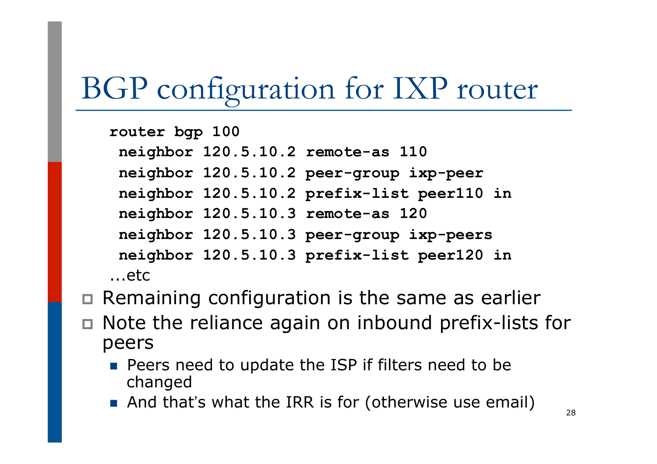# BGP configuration for IXP router

**router bgp 100 neighbor 120.5.10.2 remote-as 110 neighbor 120.5.10.2 peer-group ixp-peer neighbor 120.5.10.2 prefix-list peer110 in neighbor 120.5.10.3 remote-as 120 neighbor 120.5.10.3 peer-group ixp-peers neighbor 120.5.10.3 prefix-list peer120 in**  ...etc

- $\Box$  Remaining configuration is the same as earlier
- $\Box$  Note the reliance again on inbound prefix-lists for peers
	- **n** Peers need to update the ISP if filters need to be changed
	- And that's what the IRR is for (otherwise use email)  $\frac{1}{28}$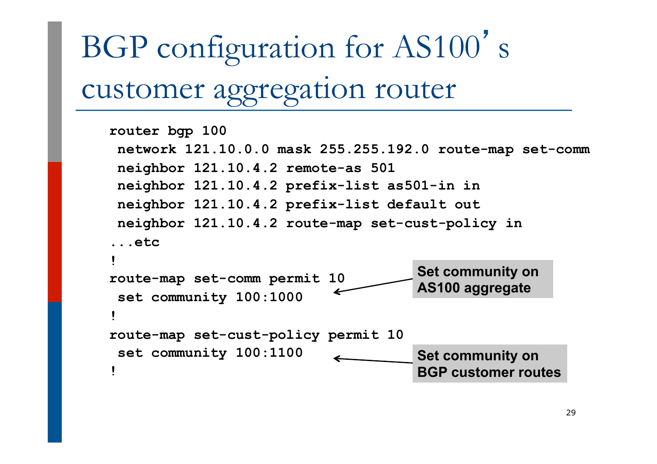# BGP configuration for AS100' s customer aggregation router

```
router bgp 100 
 network 121.10.0.0 mask 255.255.192.0 route-map set-comm 
 neighbor 121.10.4.2 remote-as 501 
 neighbor 121.10.4.2 prefix-list as501-in in 
 neighbor 121.10.4.2 prefix-list default out 
 neighbor 121.10.4.2 route-map set-cust-policy in 
...etc 
! 
route-map set-comm permit 10 
  set community 100:1000 
! 
route-map set-cust-policy permit 10 
  set community 100:1100 
! 
                                       Set community on 
                                       AS100 aggregate 
                                       Set community on 
                                       BGP customer routes
```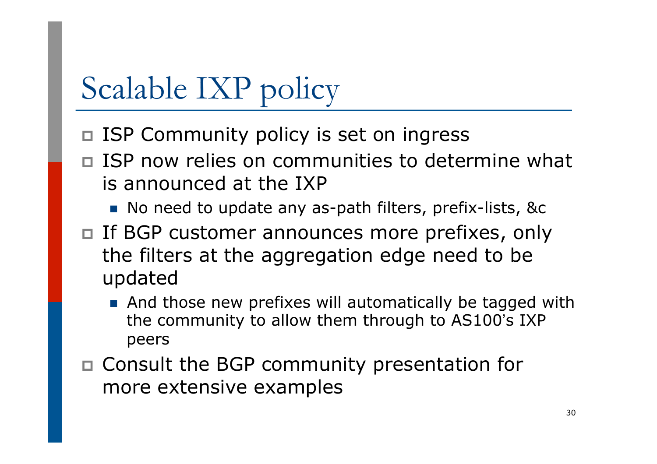# Scalable IXP policy

- □ ISP Community policy is set on ingress
- p ISP now relies on communities to determine what is announced at the IXP
	- No need to update any as-path filters, prefix-lists, &c
- □ If BGP customer announces more prefixes, only the filters at the aggregation edge need to be updated
	- $\blacksquare$  And those new prefixes will automatically be tagged with the community to allow them through to AS100's IXP peers
- p Consult the BGP community presentation for more extensive examples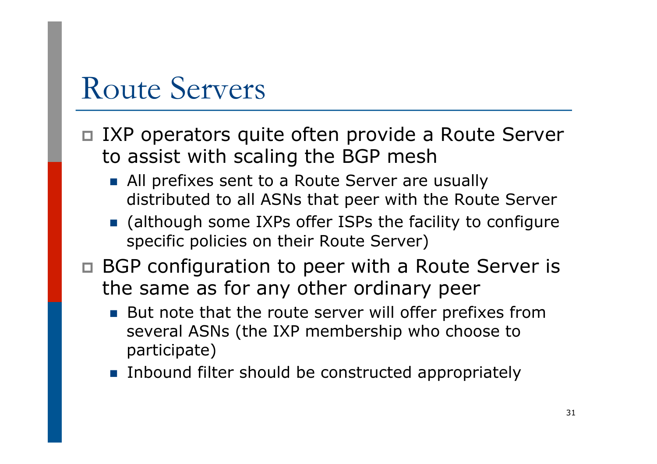# Route Servers

- □ IXP operators quite often provide a Route Server to assist with scaling the BGP mesh
	- **All prefixes sent to a Route Server are usually** distributed to all ASNs that peer with the Route Server
	- **n** (although some IXPs offer ISPs the facility to configure specific policies on their Route Server)
- $\nabla$  BGP configuration to peer with a Route Server is the same as for any other ordinary peer
	- But note that the route server will offer prefixes from several ASNs (the IXP membership who choose to participate)
	- **n** Inbound filter should be constructed appropriately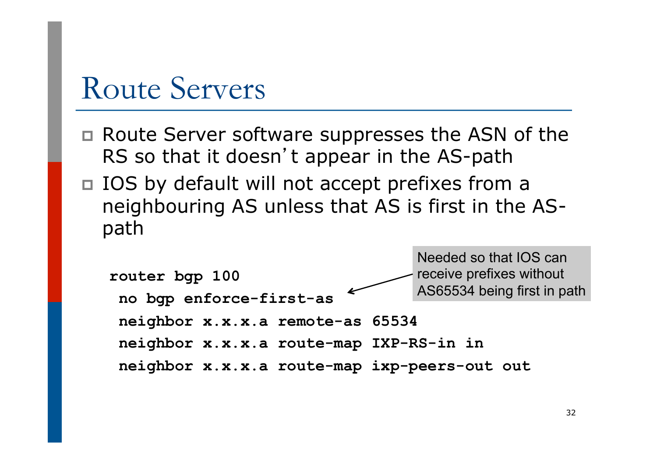# Route Servers

- □ Route Server software suppresses the ASN of the RS so that it doesn't appear in the AS-path
- □ IOS by default will not accept prefixes from a neighbouring AS unless that AS is first in the ASpath

```
router bgp 100 
  no bgp enforce-first-as 
  neighbor x.x.x.a remote-as 65534 
  neighbor x.x.x.a route-map IXP-RS-in in 
  neighbor x.x.x.a route-map ixp-peers-out out
                                       Needed so that IOS can 
                                       receive prefixes without 
                                       AS65534 being first in path
```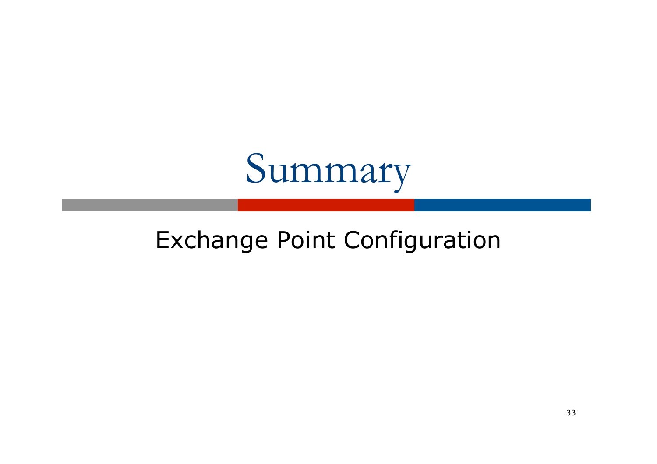

### Exchange Point Configuration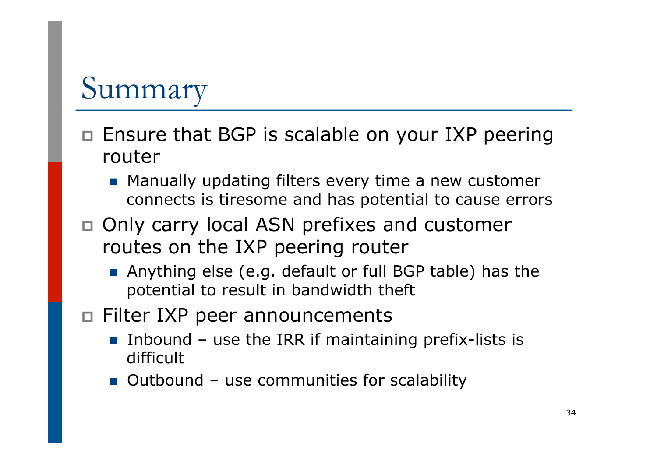# Summary

- □ Ensure that BGP is scalable on your IXP peering router
	- **n** Manually updating filters every time a new customer connects is tiresome and has potential to cause errors
- p Only carry local ASN prefixes and customer routes on the IXP peering router
	- **n** Anything else (e.g. default or full BGP table) has the potential to result in bandwidth theft
- □ Filter IXP peer announcements
	- **n** Inbound use the IRR if maintaining prefix-lists is difficult
	- Outbound use communities for scalability